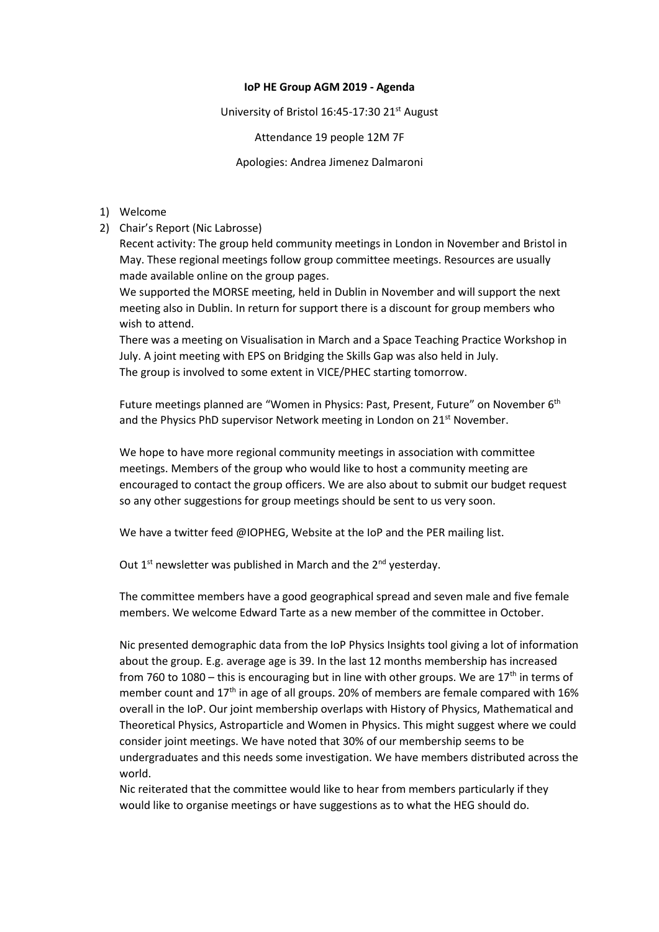## **IoP HE Group AGM 2019 - Agenda**

University of Bristol 16:45-17:30 21<sup>st</sup> August

Attendance 19 people 12M 7F

Apologies: Andrea Jimenez Dalmaroni

- 1) Welcome
- 2) Chair's Report (Nic Labrosse)

Recent activity: The group held community meetings in London in November and Bristol in May. These regional meetings follow group committee meetings. Resources are usually made available online on the group pages.

We supported the MORSE meeting, held in Dublin in November and will support the next meeting also in Dublin. In return for support there is a discount for group members who wish to attend.

There was a meeting on Visualisation in March and a Space Teaching Practice Workshop in July. A joint meeting with EPS on Bridging the Skills Gap was also held in July. The group is involved to some extent in VICE/PHEC starting tomorrow.

Future meetings planned are "Women in Physics: Past, Present, Future" on November 6<sup>th</sup> and the Physics PhD supervisor Network meeting in London on 21<sup>st</sup> November.

We hope to have more regional community meetings in association with committee meetings. Members of the group who would like to host a community meeting are encouraged to contact the group officers. We are also about to submit our budget request so any other suggestions for group meetings should be sent to us very soon.

We have a twitter feed @IOPHEG, Website at the IoP and the PER mailing list.

Out  $1<sup>st</sup>$  newsletter was published in March and the  $2<sup>nd</sup>$  vesterday.

The committee members have a good geographical spread and seven male and five female members. We welcome Edward Tarte as a new member of the committee in October.

Nic presented demographic data from the IoP Physics Insights tool giving a lot of information about the group. E.g. average age is 39. In the last 12 months membership has increased from 760 to 1080 – this is encouraging but in line with other groups. We are  $17<sup>th</sup>$  in terms of member count and  $17<sup>th</sup>$  in age of all groups. 20% of members are female compared with 16% overall in the IoP. Our joint membership overlaps with History of Physics, Mathematical and Theoretical Physics, Astroparticle and Women in Physics. This might suggest where we could consider joint meetings. We have noted that 30% of our membership seems to be undergraduates and this needs some investigation. We have members distributed across the world.

Nic reiterated that the committee would like to hear from members particularly if they would like to organise meetings or have suggestions as to what the HEG should do.